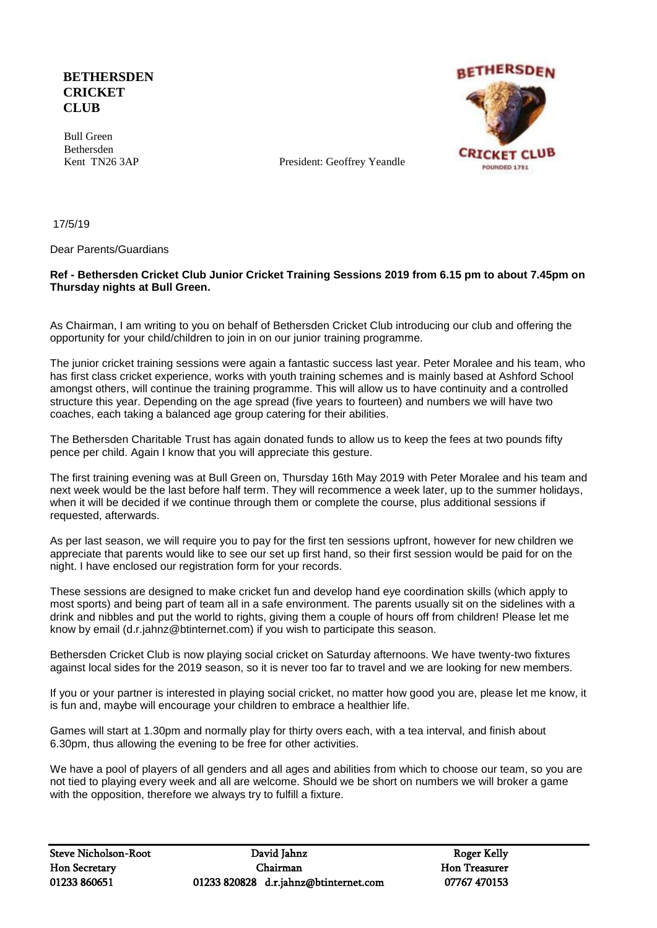## **BETHERSDEN CRICKET CLUB**

 Bull Green Bethersden



Kent TN26 3AP President: Geoffrey Yeandle

17/5/19

Dear Parents/Guardians

## **Ref - Bethersden Cricket Club Junior Cricket Training Sessions 2019 from 6.15 pm to about 7.45pm on Thursday nights at Bull Green.**

As Chairman, I am writing to you on behalf of Bethersden Cricket Club introducing our club and offering the opportunity for your child/children to join in on our junior training programme.

The junior cricket training sessions were again a fantastic success last year. Peter Moralee and his team, who has first class cricket experience, works with youth training schemes and is mainly based at Ashford School amongst others, will continue the training programme. This will allow us to have continuity and a controlled structure this year. Depending on the age spread (five years to fourteen) and numbers we will have two coaches, each taking a balanced age group catering for their abilities.

The Bethersden Charitable Trust has again donated funds to allow us to keep the fees at two pounds fifty pence per child. Again I know that you will appreciate this gesture.

The first training evening was at Bull Green on, Thursday 16th May 2019 with Peter Moralee and his team and next week would be the last before half term. They will recommence a week later, up to the summer holidays, when it will be decided if we continue through them or complete the course, plus additional sessions if requested, afterwards.

As per last season, we will require you to pay for the first ten sessions upfront, however for new children we appreciate that parents would like to see our set up first hand, so their first session would be paid for on the night. I have enclosed our registration form for your records.

These sessions are designed to make cricket fun and develop hand eye coordination skills (which apply to most sports) and being part of team all in a safe environment. The parents usually sit on the sidelines with a drink and nibbles and put the world to rights, giving them a couple of hours off from children! Please let me know by email (d.r.jahnz@btinternet.com) if you wish to participate this season.

Bethersden Cricket Club is now playing social cricket on Saturday afternoons. We have twenty-two fixtures against local sides for the 2019 season, so it is never too far to travel and we are looking for new members.

If you or your partner is interested in playing social cricket, no matter how good you are, please let me know, it is fun and, maybe will encourage your children to embrace a healthier life.

Games will start at 1.30pm and normally play for thirty overs each, with a tea interval, and finish about 6.30pm, thus allowing the evening to be free for other activities.

We have a pool of players of all genders and all ages and abilities from which to choose our team, so you are not tied to playing every week and all are welcome. Should we be short on numbers we will broker a game with the opposition, therefore we always try to fulfill a fixture.